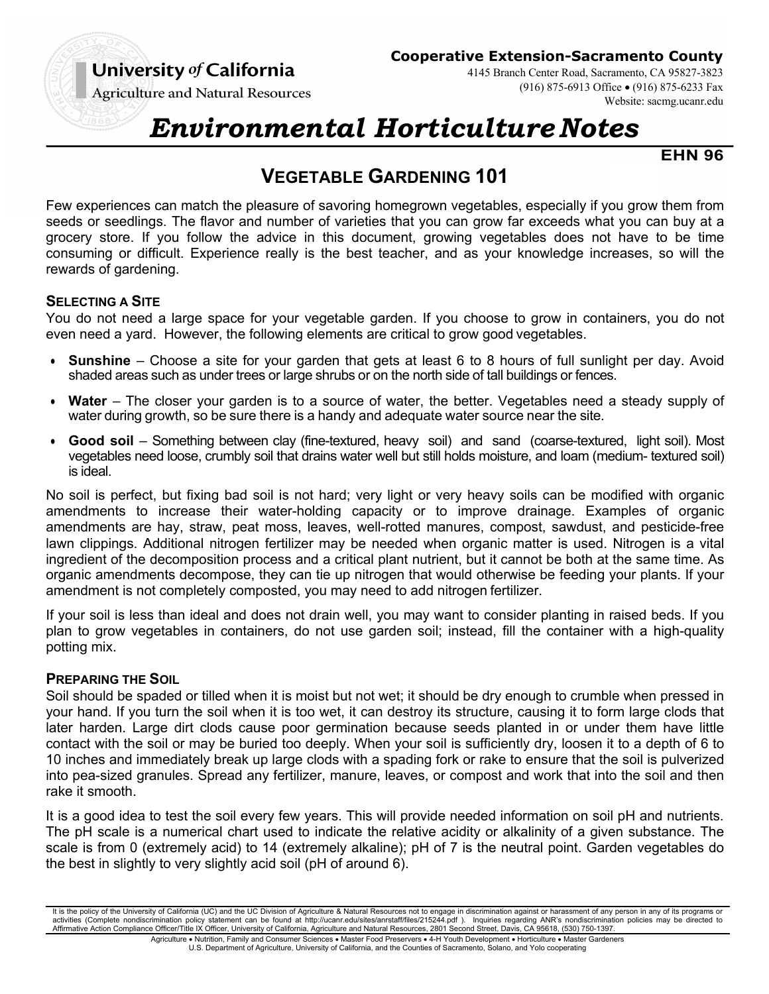## University of California

#### **Cooperative Extension-Sacramento County**

4145 Branch Center Road, Sacramento, CA 95827-3823 (916) 875-6913 Office • (916) 875-6233 Fax Website: sacmg.ucanr.edu

**Agriculture and Natural Resources** 

# *Environmental Horticulture Notes*

**EHN 96**

## **VEGETABLE GARDENING 101**

Few experiences can match the pleasure of savoring homegrown vegetables, especially if you grow them from seeds or seedlings. The flavor and number of varieties that you can grow far exceeds what you can buy at a grocery store. If you follow the advice in this document, growing vegetables does not have to be time consuming or difficult. Experience really is the best teacher, and as your knowledge increases, so will the rewards of gardening.

#### **SELECTING A SITE**

You do not need a large space for your vegetable garden. If you choose to grow in containers, you do not even need a yard. However, the following elements are critical to grow good vegetables.

- **Sunshine**  Choose a site for your garden that gets at least 6 to 8 hours of full sunlight per day. Avoid shaded areas such as under trees or large shrubs or on the north side of tall buildings or fences.
- Water The closer your garden is to a source of water, the better. Vegetables need a steady supply of water during growth, so be sure there is a handy and adequate water source near the site.
- **Good soil**  Something between clay (fine-textured, heavy soil) and sand (coarse-textured, light soil). Most vegetables need loose, crumbly soil that drains water well but still holds moisture, and loam (medium- textured soil) is ideal.

No soil is perfect, but fixing bad soil is not hard; very light or very heavy soils can be modified with organic amendments to increase their water-holding capacity or to improve drainage. Examples of organic amendments are hay, straw, peat moss, leaves, well-rotted manures, compost, sawdust, and pesticide-free lawn clippings. Additional nitrogen fertilizer may be needed when organic matter is used. Nitrogen is a vital ingredient of the decomposition process and a critical plant nutrient, but it cannot be both at the same time. As organic amendments decompose, they can tie up nitrogen that would otherwise be feeding your plants. If your amendment is not completely composted, you may need to add nitrogen fertilizer.

If your soil is less than ideal and does not drain well, you may want to consider planting in raised beds. If you plan to grow vegetables in containers, do not use garden soil; instead, fill the container with a high-quality potting mix.

#### **PREPARING THE SOIL**

Soil should be spaded or tilled when it is moist but not wet; it should be dry enough to crumble when pressed in your hand. If you turn the soil when it is too wet, it can destroy its structure, causing it to form large clods that later harden. Large dirt clods cause poor germination because seeds planted in or under them have little contact with the soil or may be buried too deeply. When your soil is sufficiently dry, loosen it to a depth of 6 to 10 inches and immediately break up large clods with a spading fork or rake to ensure that the soil is pulverized into pea-sized granules. Spread any fertilizer, manure, leaves, or compost and work that into the soil and then rake it smooth.

It is a good idea to test the soil every few years. This will provide needed information on soil pH and nutrients. The pH scale is a numerical chart used to indicate the relative acidity or alkalinity of a given substance. The scale is from 0 (extremely acid) to 14 (extremely alkaline); pH of 7 is the neutral point. Garden vegetables do the best in slightly to very slightly acid soil (pH of around 6).

It is the policy of the University of California (UC) and the UC Division of Agriculture & Natural Resources not to engage in discrimination against or harassment of any person in any of its programs or activities (Complete nondiscrimination policy statement can be found at http://ucanr.edu/sites/anrstaff/files/215244.pdf ). Inquiries regarding ANR's nondiscrimination policies may be directed to Affirmative Action Compliance Officer/Title IX Officer, University of California, Agriculture and Natural Resources, 2801 Second Street, Davis, CA 95618, (530) 750-1397.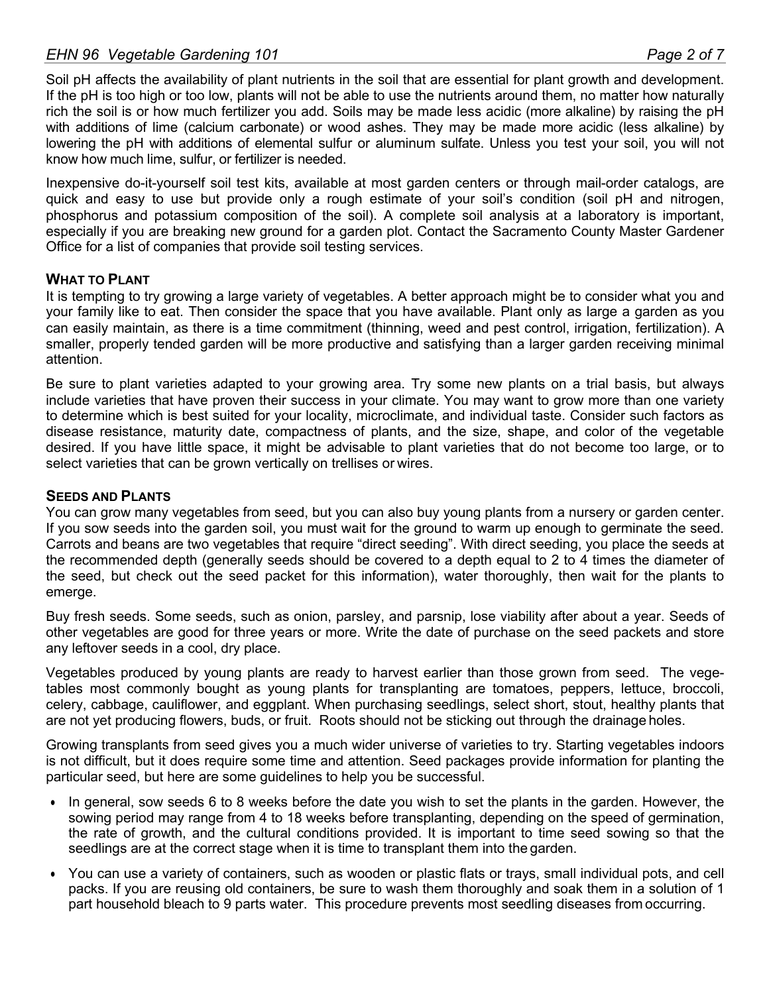Soil pH affects the availability of plant nutrients in the soil that are essential for plant growth and development. If the pH is too high or too low, plants will not be able to use the nutrients around them, no matter how naturally rich the soil is or how much fertilizer you add. Soils may be made less acidic (more alkaline) by raising the pH with additions of lime (calcium carbonate) or wood ashes. They may be made more acidic (less alkaline) by lowering the pH with additions of elemental sulfur or aluminum sulfate. Unless you test your soil, you will not know how much lime, sulfur, or fertilizer is needed.

Inexpensive do-it-yourself soil test kits, available at most garden centers or through mail-order catalogs, are quick and easy to use but provide only a rough estimate of your soil's condition (soil pH and nitrogen, phosphorus and potassium composition of the soil). A complete soil analysis at a laboratory is important, especially if you are breaking new ground for a garden plot. Contact the Sacramento County Master Gardener Office for a list of companies that provide soil testing services.

#### **WHAT TO PLANT**

It is tempting to try growing a large variety of vegetables. A better approach might be to consider what you and your family like to eat. Then consider the space that you have available. Plant only as large a garden as you can easily maintain, as there is a time commitment (thinning, weed and pest control, irrigation, fertilization). A smaller, properly tended garden will be more productive and satisfying than a larger garden receiving minimal attention.

Be sure to plant varieties adapted to your growing area. Try some new plants on a trial basis, but always include varieties that have proven their success in your climate. You may want to grow more than one variety to determine which is best suited for your locality, microclimate, and individual taste. Consider such factors as disease resistance, maturity date, compactness of plants, and the size, shape, and color of the vegetable desired. If you have little space, it might be advisable to plant varieties that do not become too large, or to select varieties that can be grown vertically on trellises or wires.

#### **SEEDS AND PLANTS**

You can grow many vegetables from seed, but you can also buy young plants from a nursery or garden center. If you sow seeds into the garden soil, you must wait for the ground to warm up enough to germinate the seed. Carrots and beans are two vegetables that require "direct seeding". With direct seeding, you place the seeds at the recommended depth (generally seeds should be covered to a depth equal to 2 to 4 times the diameter of the seed, but check out the seed packet for this information), water thoroughly, then wait for the plants to emerge.

Buy fresh seeds. Some seeds, such as onion, parsley, and parsnip, lose viability after about a year. Seeds of other vegetables are good for three years or more. Write the date of purchase on the seed packets and store any leftover seeds in a cool, dry place.

Vegetables produced by young plants are ready to harvest earlier than those grown from seed. The vegetables most commonly bought as young plants for transplanting are tomatoes, peppers, lettuce, broccoli, celery, cabbage, cauliflower, and eggplant. When purchasing seedlings, select short, stout, healthy plants that are not yet producing flowers, buds, or fruit. Roots should not be sticking out through the drainage holes.

Growing transplants from seed gives you a much wider universe of varieties to try. Starting vegetables indoors is not difficult, but it does require some time and attention. Seed packages provide information for planting the particular seed, but here are some guidelines to help you be successful.

- In general, sow seeds 6 to 8 weeks before the date you wish to set the plants in the garden. However, the sowing period may range from 4 to 18 weeks before transplanting, depending on the speed of germination, the rate of growth, and the cultural conditions provided. It is important to time seed sowing so that the seedlings are at the correct stage when it is time to transplant them into the garden.
- You can use a variety of containers, such as wooden or plastic flats or trays, small individual pots, and cell packs. If you are reusing old containers, be sure to wash them thoroughly and soak them in a solution of 1 part household bleach to 9 parts water. This procedure prevents most seedling diseases from occurring.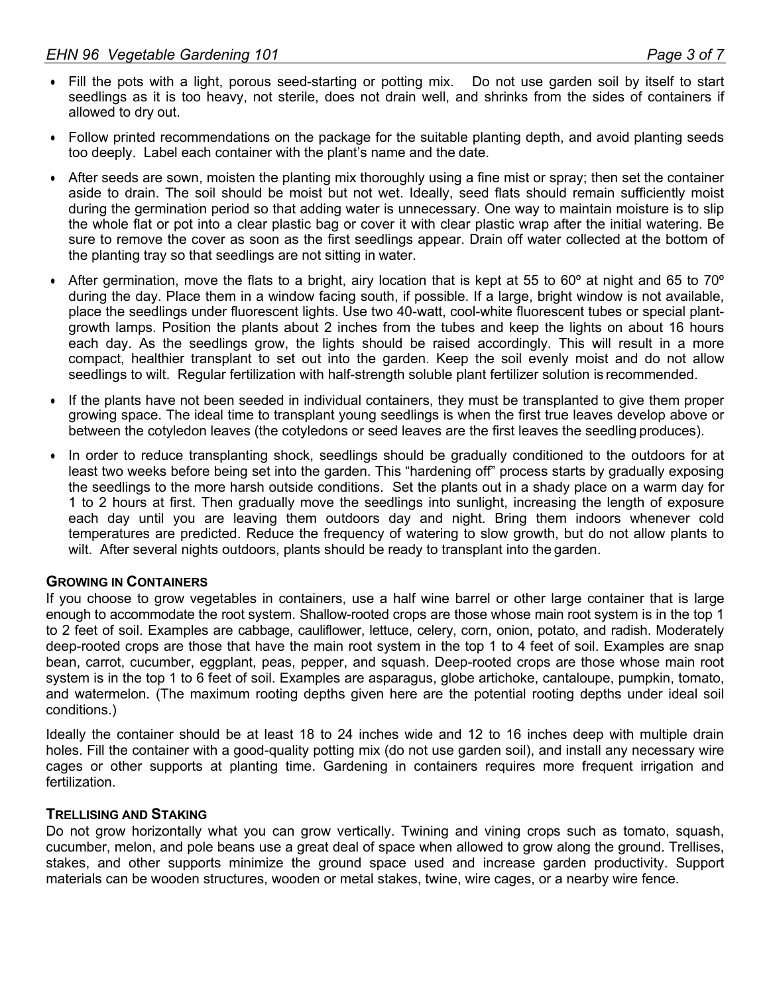- Fill the pots with a light, porous seed-starting or potting mix. Do not use garden soil by itself to start seedlings as it is too heavy, not sterile, does not drain well, and shrinks from the sides of containers if allowed to dry out.
- Follow printed recommendations on the package for the suitable planting depth, and avoid planting seeds too deeply. Label each container with the plant's name and the date.
- After seeds are sown, moisten the planting mix thoroughly using a fine mist or spray; then set the container aside to drain. The soil should be moist but not wet. Ideally, seed flats should remain sufficiently moist during the germination period so that adding water is unnecessary. One way to maintain moisture is to slip the whole flat or pot into a clear plastic bag or cover it with clear plastic wrap after the initial watering. Be sure to remove the cover as soon as the first seedlings appear. Drain off water collected at the bottom of the planting tray so that seedlings are not sitting in water.
- After germination, move the flats to a bright, airy location that is kept at 55 to 60° at night and 65 to 70° during the day. Place them in a window facing south, if possible. If a large, bright window is not available, place the seedlings under fluorescent lights. Use two 40-watt, cool-white fluorescent tubes or special plantgrowth lamps. Position the plants about 2 inches from the tubes and keep the lights on about 16 hours each day. As the seedlings grow, the lights should be raised accordingly. This will result in a more compact, healthier transplant to set out into the garden. Keep the soil evenly moist and do not allow seedlings to wilt. Regular fertilization with half-strength soluble plant fertilizer solution is recommended.
- If the plants have not been seeded in individual containers, they must be transplanted to give them proper growing space. The ideal time to transplant young seedlings is when the first true leaves develop above or between the cotyledon leaves (the cotyledons or seed leaves are the first leaves the seedling produces).
- In order to reduce transplanting shock, seedlings should be gradually conditioned to the outdoors for at least two weeks before being set into the garden. This "hardening off" process starts by gradually exposing the seedlings to the more harsh outside conditions. Set the plants out in a shady place on a warm day for 1 to 2 hours at first. Then gradually move the seedlings into sunlight, increasing the length of exposure each day until you are leaving them outdoors day and night. Bring them indoors whenever cold temperatures are predicted. Reduce the frequency of watering to slow growth, but do not allow plants to wilt. After several nights outdoors, plants should be ready to transplant into the garden.

#### **GROWING IN CONTAINERS**

If you choose to grow vegetables in containers, use a half wine barrel or other large container that is large enough to accommodate the root system. Shallow-rooted crops are those whose main root system is in the top 1 to 2 feet of soil. Examples are cabbage, cauliflower, lettuce, celery, corn, onion, potato, and radish. Moderately deep-rooted crops are those that have the main root system in the top 1 to 4 feet of soil. Examples are snap bean, carrot, cucumber, eggplant, peas, pepper, and squash. Deep-rooted crops are those whose main root system is in the top 1 to 6 feet of soil. Examples are asparagus, globe artichoke, cantaloupe, pumpkin, tomato, and watermelon. (The maximum rooting depths given here are the potential rooting depths under ideal soil conditions.)

Ideally the container should be at least 18 to 24 inches wide and 12 to 16 inches deep with multiple drain holes. Fill the container with a good-quality potting mix (do not use garden soil), and install any necessary wire cages or other supports at planting time. Gardening in containers requires more frequent irrigation and fertilization.

#### **TRELLISING AND STAKING**

Do not grow horizontally what you can grow vertically. Twining and vining crops such as tomato, squash, cucumber, melon, and pole beans use a great deal of space when allowed to grow along the ground. Trellises, stakes, and other supports minimize the ground space used and increase garden productivity. Support materials can be wooden structures, wooden or metal stakes, twine, wire cages, or a nearby wire fence.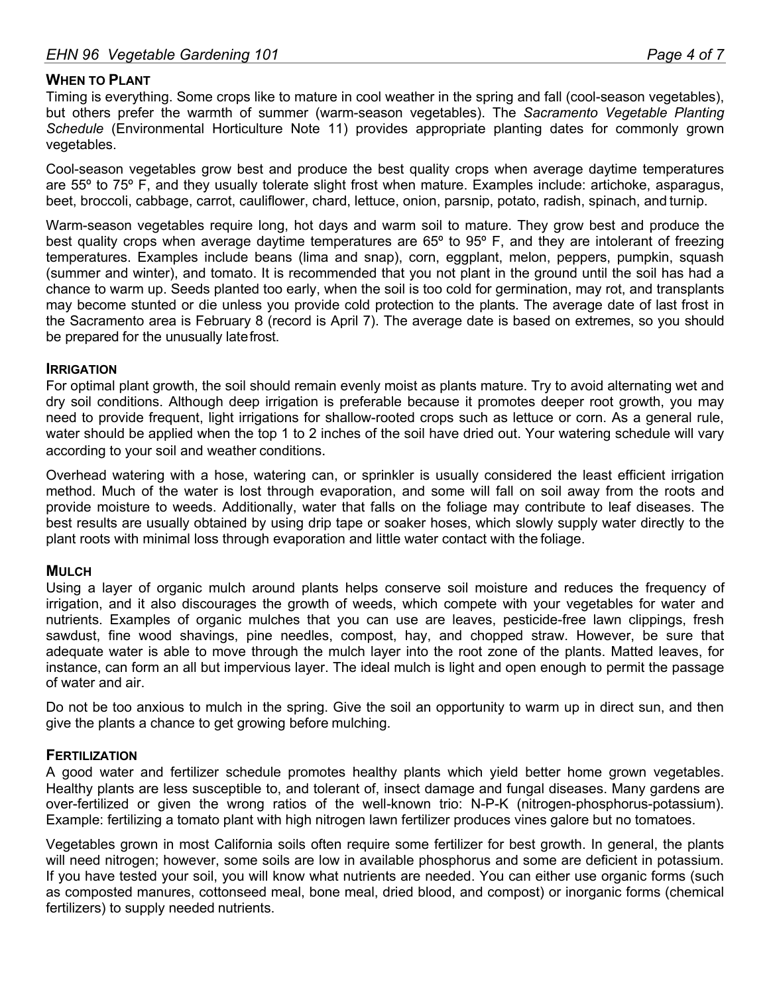#### **WHEN TO PLANT**

Timing is everything. Some crops like to mature in cool weather in the spring and fall (cool-season vegetables), but others prefer the warmth of summer (warm-season vegetables). The *Sacramento Vegetable Planting Schedule* (Environmental Horticulture Note 11) provides appropriate planting dates for commonly grown vegetables.

Cool-season vegetables grow best and produce the best quality crops when average daytime temperatures are 55º to 75º F, and they usually tolerate slight frost when mature. Examples include: artichoke, asparagus, beet, broccoli, cabbage, carrot, cauliflower, chard, lettuce, onion, parsnip, potato, radish, spinach, and turnip.

Warm-season vegetables require long, hot days and warm soil to mature. They grow best and produce the best quality crops when average daytime temperatures are 65° to 95° F, and they are intolerant of freezing temperatures. Examples include beans (lima and snap), corn, eggplant, melon, peppers, pumpkin, squash (summer and winter), and tomato. It is recommended that you not plant in the ground until the soil has had a chance to warm up. Seeds planted too early, when the soil is too cold for germination, may rot, and transplants may become stunted or die unless you provide cold protection to the plants. The average date of last frost in the Sacramento area is February 8 (record is April 7). The average date is based on extremes, so you should be prepared for the unusually latefrost.

#### **IRRIGATION**

For optimal plant growth, the soil should remain evenly moist as plants mature. Try to avoid alternating wet and dry soil conditions. Although deep irrigation is preferable because it promotes deeper root growth, you may need to provide frequent, light irrigations for shallow-rooted crops such as lettuce or corn. As a general rule, water should be applied when the top 1 to 2 inches of the soil have dried out. Your watering schedule will vary according to your soil and weather conditions.

Overhead watering with a hose, watering can, or sprinkler is usually considered the least efficient irrigation method. Much of the water is lost through evaporation, and some will fall on soil away from the roots and provide moisture to weeds. Additionally, water that falls on the foliage may contribute to leaf diseases. The best results are usually obtained by using drip tape or soaker hoses, which slowly supply water directly to the plant roots with minimal loss through evaporation and little water contact with the foliage.

#### **MULCH**

Using a layer of organic mulch around plants helps conserve soil moisture and reduces the frequency of irrigation, and it also discourages the growth of weeds, which compete with your vegetables for water and nutrients. Examples of organic mulches that you can use are leaves, pesticide-free lawn clippings, fresh sawdust, fine wood shavings, pine needles, compost, hay, and chopped straw. However, be sure that adequate water is able to move through the mulch layer into the root zone of the plants. Matted leaves, for instance, can form an all but impervious layer. The ideal mulch is light and open enough to permit the passage of water and air.

Do not be too anxious to mulch in the spring. Give the soil an opportunity to warm up in direct sun, and then give the plants a chance to get growing before mulching.

#### **FERTILIZATION**

A good water and fertilizer schedule promotes healthy plants which yield better home grown vegetables. Healthy plants are less susceptible to, and tolerant of, insect damage and fungal diseases. Many gardens are over-fertilized or given the wrong ratios of the well-known trio: N-P-K (nitrogen-phosphorus-potassium). Example: fertilizing a tomato plant with high nitrogen lawn fertilizer produces vines galore but no tomatoes.

Vegetables grown in most California soils often require some fertilizer for best growth. In general, the plants will need nitrogen; however, some soils are low in available phosphorus and some are deficient in potassium. If you have tested your soil, you will know what nutrients are needed. You can either use organic forms (such as composted manures, cottonseed meal, bone meal, dried blood, and compost) or inorganic forms (chemical fertilizers) to supply needed nutrients.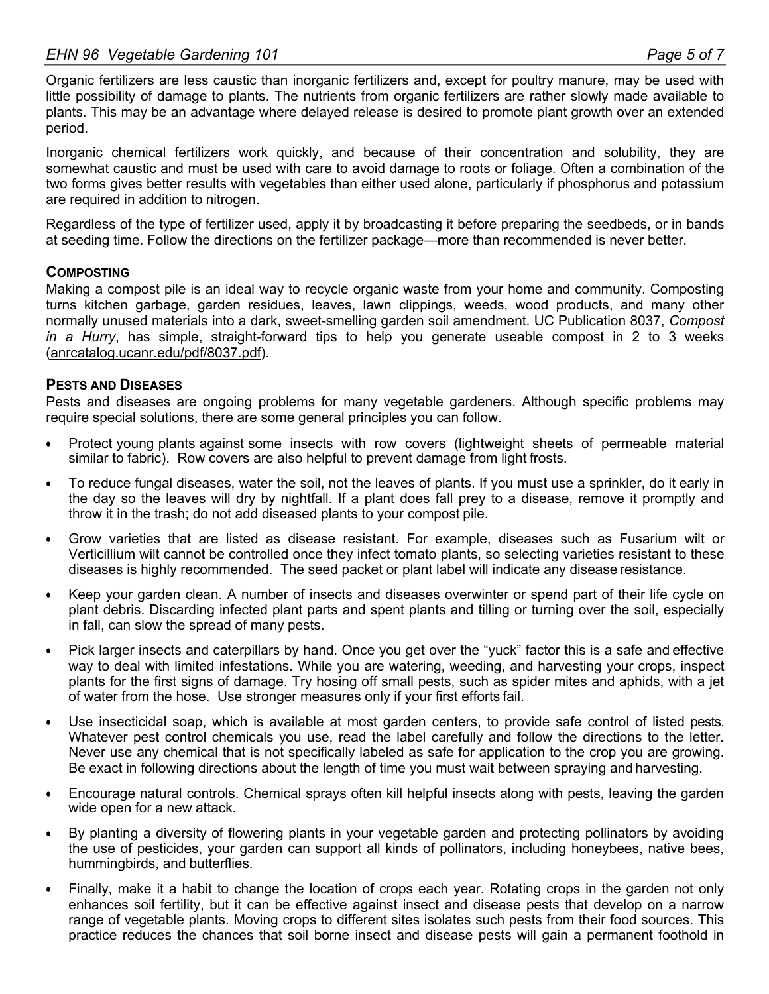Organic fertilizers are less caustic than inorganic fertilizers and, except for poultry manure, may be used with little possibility of damage to plants. The nutrients from organic fertilizers are rather slowly made available to plants. This may be an advantage where delayed release is desired to promote plant growth over an extended period.

Inorganic chemical fertilizers work quickly, and because of their concentration and solubility, they are somewhat caustic and must be used with care to avoid damage to roots or foliage. Often a combination of the two forms gives better results with vegetables than either used alone, particularly if phosphorus and potassium are required in addition to nitrogen.

Regardless of the type of fertilizer used, apply it by broadcasting it before preparing the seedbeds, or in bands at seeding time. Follow the directions on the fertilizer package—more than recommended is never better.

#### **COMPOSTING**

Making a compost pile is an ideal way to recycle organic waste from your home and community. Composting turns kitchen garbage, garden residues, leaves, lawn clippings, weeds, wood products, and many other normally unused materials into a dark, sweet-smelling garden soil amendment. UC Publication 8037, *Compost in a Hurry*, has simple, straight-forward tips to help you generate useable compost in 2 to 3 weeks (anrcatalog.ucanr.edu/pdf/8037.pdf).

#### **PESTS AND DISEASES**

Pests and diseases are ongoing problems for many vegetable gardeners. Although specific problems may require special solutions, there are some general principles you can follow.

- Protect young plants against some insects with row covers (lightweight sheets of permeable material similar to fabric). Row covers are also helpful to prevent damage from light frosts.
- To reduce fungal diseases, water the soil, not the leaves of plants. If you must use a sprinkler, do it early in the day so the leaves will dry by nightfall. If a plant does fall prey to a disease, remove it promptly and throw it in the trash; do not add diseased plants to your compost pile.
- Grow varieties that are listed as disease resistant. For example, diseases such as Fusarium wilt or Verticillium wilt cannot be controlled once they infect tomato plants, so selecting varieties resistant to these diseases is highly recommended. The seed packet or plant label will indicate any disease resistance.
- Keep your garden clean. A number of insects and diseases overwinter or spend part of their life cycle on plant debris. Discarding infected plant parts and spent plants and tilling or turning over the soil, especially in fall, can slow the spread of many pests.
- Pick larger insects and caterpillars by hand. Once you get over the "yuck" factor this is a safe and effective way to deal with limited infestations. While you are watering, weeding, and harvesting your crops, inspect plants for the first signs of damage. Try hosing off small pests, such as spider mites and aphids, with a jet of water from the hose. Use stronger measures only if your first efforts fail.
- Use insecticidal soap, which is available at most garden centers, to provide safe control of listed pests. Whatever pest control chemicals you use, read the label carefully and follow the directions to the letter. Never use any chemical that is not specifically labeled as safe for application to the crop you are growing. Be exact in following directions about the length of time you must wait between spraying and harvesting.
- Encourage natural controls. Chemical sprays often kill helpful insects along with pests, leaving the garden wide open for a new attack.
- By planting a diversity of flowering plants in your vegetable garden and protecting pollinators by avoiding the use of pesticides, your garden can support all kinds of pollinators, including honeybees, native bees, hummingbirds, and butterflies.
- Finally, make it a habit to change the location of crops each year. Rotating crops in the garden not only enhances soil fertility, but it can be effective against insect and disease pests that develop on a narrow range of vegetable plants. Moving crops to different sites isolates such pests from their food sources. This practice reduces the chances that soil borne insect and disease pests will gain a permanent foothold in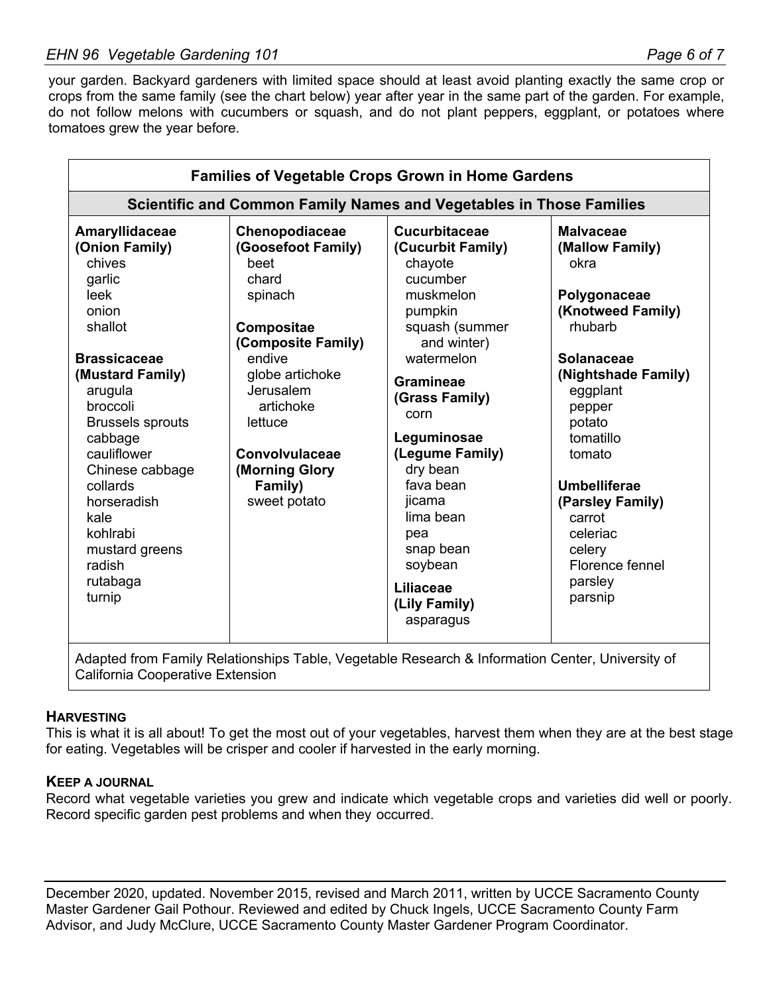your garden. Backyard gardeners with limited space should at least avoid planting exactly the same crop or crops from the same family (see the chart below) year after year in the same part of the garden. For example, do not follow melons with cucumbers or squash, and do not plant peppers, eggplant, or potatoes where tomatoes grew the year before.

| <b>Families of Vegetable Crops Grown in Home Gardens</b>                                                                                                                                                                                                                                                                    |                                                                                                                                                                                                                                              |                                                                                                                                                                                                                                                                                                                                                          |                                                                                                                                                                                                                                                                                                                    |  |  |  |  |  |  |  |
|-----------------------------------------------------------------------------------------------------------------------------------------------------------------------------------------------------------------------------------------------------------------------------------------------------------------------------|----------------------------------------------------------------------------------------------------------------------------------------------------------------------------------------------------------------------------------------------|----------------------------------------------------------------------------------------------------------------------------------------------------------------------------------------------------------------------------------------------------------------------------------------------------------------------------------------------------------|--------------------------------------------------------------------------------------------------------------------------------------------------------------------------------------------------------------------------------------------------------------------------------------------------------------------|--|--|--|--|--|--|--|
| <b>Scientific and Common Family Names and Vegetables in Those Families</b>                                                                                                                                                                                                                                                  |                                                                                                                                                                                                                                              |                                                                                                                                                                                                                                                                                                                                                          |                                                                                                                                                                                                                                                                                                                    |  |  |  |  |  |  |  |
| Amaryllidaceae<br>(Onion Family)<br>chives<br>garlic<br>leek<br>onion<br>shallot<br><b>Brassicaceae</b><br>(Mustard Family)<br>arugula<br>broccoli<br><b>Brussels sprouts</b><br>cabbage<br>cauliflower<br>Chinese cabbage<br>collards<br>horseradish<br>kale<br>kohlrabi<br>mustard greens<br>radish<br>rutabaga<br>turnip | Chenopodiaceae<br>(Goosefoot Family)<br>beet<br>chard<br>spinach<br>Compositae<br>(Composite Family)<br>endive<br>globe artichoke<br>Jerusalem<br>artichoke<br>lettuce<br><b>Convolvulaceae</b><br>(Morning Glory<br>Family)<br>sweet potato | <b>Cucurbitaceae</b><br>(Cucurbit Family)<br>chayote<br>cucumber<br>muskmelon<br>pumpkin<br>squash (summer<br>and winter)<br>watermelon<br><b>Gramineae</b><br>(Grass Family)<br>corn<br>Leguminosae<br>(Legume Family)<br>dry bean<br>fava bean<br>jicama<br>lima bean<br>pea<br>snap bean<br>soybean<br><b>Liliaceae</b><br>(Lily Family)<br>asparagus | <b>Malvaceae</b><br>(Mallow Family)<br>okra<br>Polygonaceae<br>(Knotweed Family)<br>rhubarb<br><b>Solanaceae</b><br>(Nightshade Family)<br>eggplant<br>pepper<br>potato<br>tomatillo<br>tomato<br><b>Umbelliferae</b><br>(Parsley Family)<br>carrot<br>celeriac<br>celery<br>Florence fennel<br>parsley<br>parsnip |  |  |  |  |  |  |  |
| Adapted from Family Relationships Table, Vegetable Research & Information Center, University of                                                                                                                                                                                                                             |                                                                                                                                                                                                                                              |                                                                                                                                                                                                                                                                                                                                                          |                                                                                                                                                                                                                                                                                                                    |  |  |  |  |  |  |  |

Trom Family Relationships Table, Vegetable Research & Information Center, University c California Cooperative Extension

#### **HARVESTING**

This is what it is all about! To get the most out of your vegetables, harvest them when they are at the best stage for eating. Vegetables will be crisper and cooler if harvested in the early morning.

#### **KEEP A JOURNAL**

Record what vegetable varieties you grew and indicate which vegetable crops and varieties did well or poorly. Record specific garden pest problems and when they occurred.

December 2020, updated. November 2015, revised and March 2011, written by UCCE Sacramento County Master Gardener Gail Pothour. Reviewed and edited by Chuck Ingels, UCCE Sacramento County Farm Advisor, and Judy McClure, UCCE Sacramento County Master Gardener Program Coordinator.